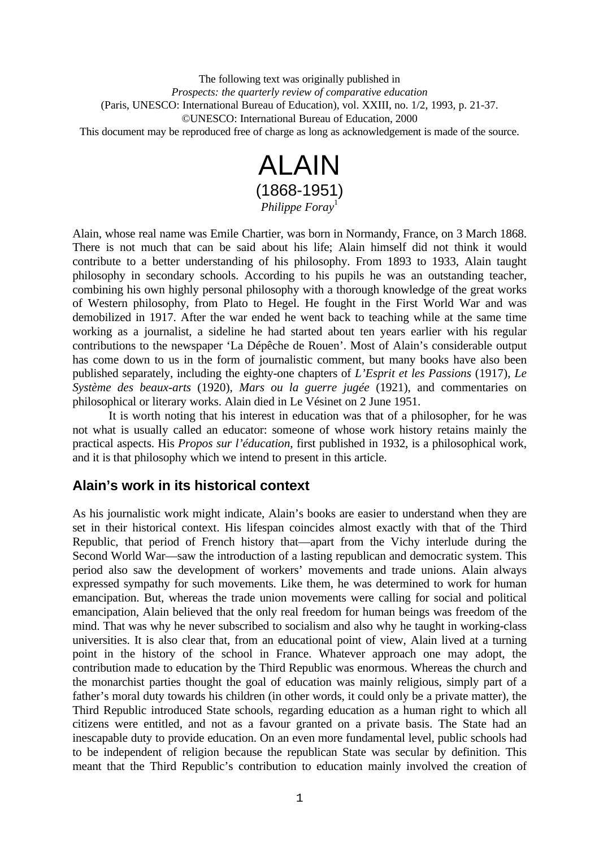The following text was originally published in *Prospects: the quarterly review of comparative education* (Paris, UNESCO: International Bureau of Education), vol. XXIII, no. 1/2, 1993, p. 21-37. ©UNESCO: International Bureau of Education, 2000 This document may be reproduced free of charge as long as acknowledgement is made of the source.



Alain, whose real name was Emile Chartier, was born in Normandy, France, on 3 March 1868. There is not much that can be said about his life; Alain himself did not think it would contribute to a better understanding of his philosophy. From 1893 to 1933, Alain taught philosophy in secondary schools. According to his pupils he was an outstanding teacher, combining his own highly personal philosophy with a thorough knowledge of the great works of Western philosophy, from Plato to Hegel. He fought in the First World War and was demobilized in 1917. After the war ended he went back to teaching while at the same time working as a journalist, a sideline he had started about ten years earlier with his regular contributions to the newspaper 'La Dépêche de Rouen'. Most of Alain's considerable output has come down to us in the form of journalistic comment, but many books have also been published separately, including the eighty-one chapters of *L'Esprit et les Passions* (1917), *Le Système des beaux-arts* (1920), *Mars ou la guerre jugée* (1921), and commentaries on philosophical or literary works. Alain died in Le Vésinet on 2 June 1951.

It is worth noting that his interest in education was that of a philosopher, for he was not what is usually called an educator: someone of whose work history retains mainly the practical aspects. His *Propos sur l'éducation*, first published in 1932, is a philosophical work, and it is that philosophy which we intend to present in this article.

## **Alain's work in its historical context**

As his journalistic work might indicate, Alain's books are easier to understand when they are set in their historical context. His lifespan coincides almost exactly with that of the Third Republic, that period of French history that—apart from the Vichy interlude during the Second World War—saw the introduction of a lasting republican and democratic system. This period also saw the development of workers' movements and trade unions. Alain always expressed sympathy for such movements. Like them, he was determined to work for human emancipation. But, whereas the trade union movements were calling for social and political emancipation, Alain believed that the only real freedom for human beings was freedom of the mind. That was why he never subscribed to socialism and also why he taught in working-class universities. It is also clear that, from an educational point of view, Alain lived at a turning point in the history of the school in France. Whatever approach one may adopt, the contribution made to education by the Third Republic was enormous. Whereas the church and the monarchist parties thought the goal of education was mainly religious, simply part of a father's moral duty towards his children (in other words, it could only be a private matter), the Third Republic introduced State schools, regarding education as a human right to which all citizens were entitled, and not as a favour granted on a private basis. The State had an inescapable duty to provide education. On an even more fundamental level, public schools had to be independent of religion because the republican State was secular by definition. This meant that the Third Republic's contribution to education mainly involved the creation of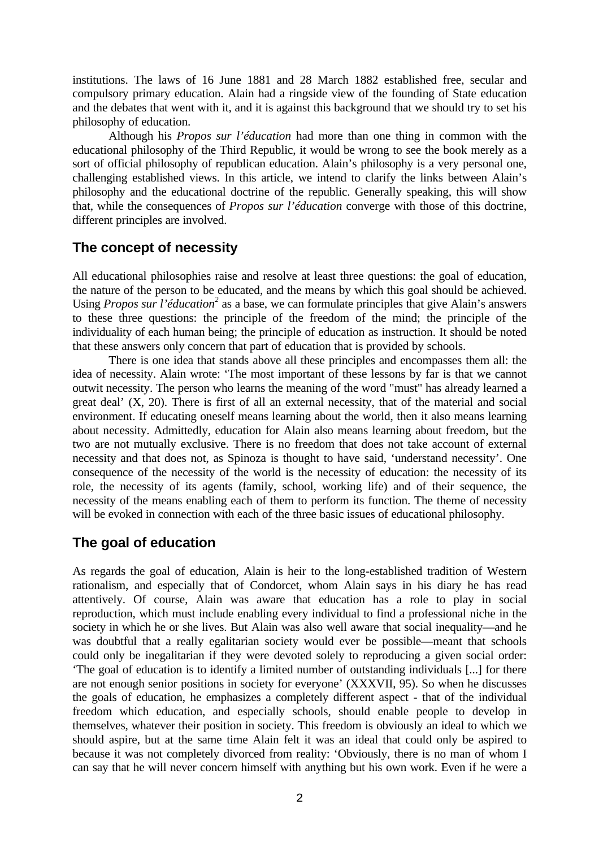institutions. The laws of 16 June 1881 and 28 March 1882 established free, secular and compulsory primary education. Alain had a ringside view of the founding of State education and the debates that went with it, and it is against this background that we should try to set his philosophy of education.

Although his *Propos sur l'éducation* had more than one thing in common with the educational philosophy of the Third Republic, it would be wrong to see the book merely as a sort of official philosophy of republican education. Alain's philosophy is a very personal one, challenging established views. In this article, we intend to clarify the links between Alain's philosophy and the educational doctrine of the republic. Generally speaking, this will show that, while the consequences of *Propos sur l'éducation* converge with those of this doctrine, different principles are involved.

## **The concept of necessity**

All educational philosophies raise and resolve at least three questions: the goal of education, the nature of the person to be educated, and the means by which this goal should be achieved. Using *Propos sur l'éducation*<sup>2</sup> as a base, we can formulate principles that give Alain's answers to these three questions: the principle of the freedom of the mind; the principle of the individuality of each human being; the principle of education as instruction. It should be noted that these answers only concern that part of education that is provided by schools.

There is one idea that stands above all these principles and encompasses them all: the idea of necessity. Alain wrote: 'The most important of these lessons by far is that we cannot outwit necessity. The person who learns the meaning of the word "must" has already learned a great deal' (X, 20). There is first of all an external necessity, that of the material and social environment. If educating oneself means learning about the world, then it also means learning about necessity. Admittedly, education for Alain also means learning about freedom, but the two are not mutually exclusive. There is no freedom that does not take account of external necessity and that does not, as Spinoza is thought to have said, 'understand necessity'. One consequence of the necessity of the world is the necessity of education: the necessity of its role, the necessity of its agents (family, school, working life) and of their sequence, the necessity of the means enabling each of them to perform its function. The theme of necessity will be evoked in connection with each of the three basic issues of educational philosophy.

# **The goal of education**

As regards the goal of education, Alain is heir to the long-established tradition of Western rationalism, and especially that of Condorcet, whom Alain says in his diary he has read attentively. Of course, Alain was aware that education has a role to play in social reproduction, which must include enabling every individual to find a professional niche in the society in which he or she lives. But Alain was also well aware that social inequality—and he was doubtful that a really egalitarian society would ever be possible—meant that schools could only be inegalitarian if they were devoted solely to reproducing a given social order: 'The goal of education is to identify a limited number of outstanding individuals [...] for there are not enough senior positions in society for everyone' (XXXVII, 95). So when he discusses the goals of education, he emphasizes a completely different aspect - that of the individual freedom which education, and especially schools, should enable people to develop in themselves, whatever their position in society. This freedom is obviously an ideal to which we should aspire, but at the same time Alain felt it was an ideal that could only be aspired to because it was not completely divorced from reality: 'Obviously, there is no man of whom I can say that he will never concern himself with anything but his own work. Even if he were a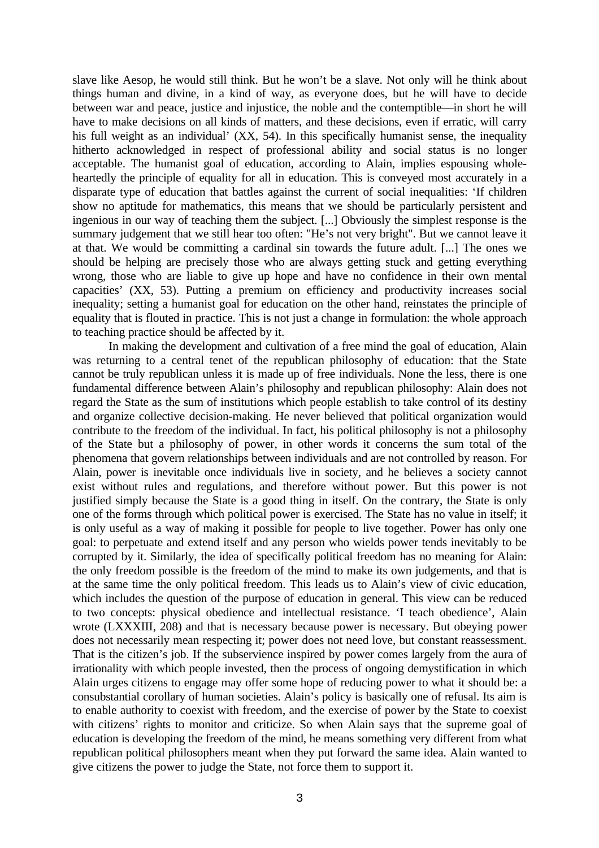slave like Aesop, he would still think. But he won't be a slave. Not only will he think about things human and divine, in a kind of way, as everyone does, but he will have to decide between war and peace, justice and injustice, the noble and the contemptible—in short he will have to make decisions on all kinds of matters, and these decisions, even if erratic, will carry his full weight as an individual' (XX, 54). In this specifically humanist sense, the inequality hitherto acknowledged in respect of professional ability and social status is no longer acceptable. The humanist goal of education, according to Alain, implies espousing wholeheartedly the principle of equality for all in education. This is conveyed most accurately in a disparate type of education that battles against the current of social inequalities: 'If children show no aptitude for mathematics, this means that we should be particularly persistent and ingenious in our way of teaching them the subject. [...] Obviously the simplest response is the summary judgement that we still hear too often: "He's not very bright". But we cannot leave it at that. We would be committing a cardinal sin towards the future adult. [...] The ones we should be helping are precisely those who are always getting stuck and getting everything wrong, those who are liable to give up hope and have no confidence in their own mental capacities' (XX, 53). Putting a premium on efficiency and productivity increases social inequality; setting a humanist goal for education on the other hand, reinstates the principle of equality that is flouted in practice. This is not just a change in formulation: the whole approach to teaching practice should be affected by it.

In making the development and cultivation of a free mind the goal of education, Alain was returning to a central tenet of the republican philosophy of education: that the State cannot be truly republican unless it is made up of free individuals. None the less, there is one fundamental difference between Alain's philosophy and republican philosophy: Alain does not regard the State as the sum of institutions which people establish to take control of its destiny and organize collective decision-making. He never believed that political organization would contribute to the freedom of the individual. In fact, his political philosophy is not a philosophy of the State but a philosophy of power, in other words it concerns the sum total of the phenomena that govern relationships between individuals and are not controlled by reason. For Alain, power is inevitable once individuals live in society, and he believes a society cannot exist without rules and regulations, and therefore without power. But this power is not justified simply because the State is a good thing in itself. On the contrary, the State is only one of the forms through which political power is exercised. The State has no value in itself; it is only useful as a way of making it possible for people to live together. Power has only one goal: to perpetuate and extend itself and any person who wields power tends inevitably to be corrupted by it. Similarly, the idea of specifically political freedom has no meaning for Alain: the only freedom possible is the freedom of the mind to make its own judgements, and that is at the same time the only political freedom. This leads us to Alain's view of civic education, which includes the question of the purpose of education in general. This view can be reduced to two concepts: physical obedience and intellectual resistance. 'I teach obedience', Alain wrote (LXXXIII, 208) and that is necessary because power is necessary. But obeying power does not necessarily mean respecting it; power does not need love, but constant reassessment. That is the citizen's job. If the subservience inspired by power comes largely from the aura of irrationality with which people invested, then the process of ongoing demystification in which Alain urges citizens to engage may offer some hope of reducing power to what it should be: a consubstantial corollary of human societies. Alain's policy is basically one of refusal. Its aim is to enable authority to coexist with freedom, and the exercise of power by the State to coexist with citizens' rights to monitor and criticize. So when Alain says that the supreme goal of education is developing the freedom of the mind, he means something very different from what republican political philosophers meant when they put forward the same idea. Alain wanted to give citizens the power to judge the State, not force them to support it.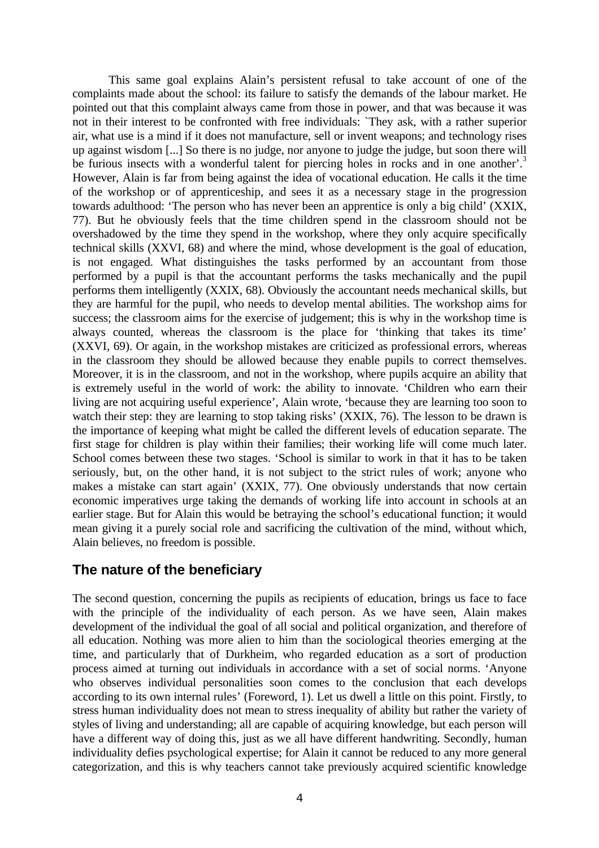This same goal explains Alain's persistent refusal to take account of one of the complaints made about the school: its failure to satisfy the demands of the labour market. He pointed out that this complaint always came from those in power, and that was because it was not in their interest to be confronted with free individuals: `They ask, with a rather superior air, what use is a mind if it does not manufacture, sell or invent weapons; and technology rises up against wisdom [...] So there is no judge, nor anyone to judge the judge, but soon there will be furious insects with a wonderful talent for piercing holes in rocks and in one another'.<sup>3</sup> However, Alain is far from being against the idea of vocational education. He calls it the time of the workshop or of apprenticeship, and sees it as a necessary stage in the progression towards adulthood: 'The person who has never been an apprentice is only a big child' (XXIX, 77). But he obviously feels that the time children spend in the classroom should not be overshadowed by the time they spend in the workshop, where they only acquire specifically technical skills (XXVI, 68) and where the mind, whose development is the goal of education, is not engaged. What distinguishes the tasks performed by an accountant from those performed by a pupil is that the accountant performs the tasks mechanically and the pupil performs them intelligently (XXIX, 68). Obviously the accountant needs mechanical skills, but they are harmful for the pupil, who needs to develop mental abilities. The workshop aims for success; the classroom aims for the exercise of judgement; this is why in the workshop time is always counted, whereas the classroom is the place for 'thinking that takes its time' (XXVI, 69). Or again, in the workshop mistakes are criticized as professional errors, whereas in the classroom they should be allowed because they enable pupils to correct themselves. Moreover, it is in the classroom, and not in the workshop, where pupils acquire an ability that is extremely useful in the world of work: the ability to innovate. 'Children who earn their living are not acquiring useful experience', Alain wrote, 'because they are learning too soon to watch their step: they are learning to stop taking risks' (XXIX, 76). The lesson to be drawn is the importance of keeping what might be called the different levels of education separate. The first stage for children is play within their families; their working life will come much later. School comes between these two stages. 'School is similar to work in that it has to be taken seriously, but, on the other hand, it is not subject to the strict rules of work; anyone who makes a mistake can start again' (XXIX, 77). One obviously understands that now certain economic imperatives urge taking the demands of working life into account in schools at an earlier stage. But for Alain this would be betraying the school's educational function; it would mean giving it a purely social role and sacrificing the cultivation of the mind, without which, Alain believes, no freedom is possible.

# **The nature of the beneficiary**

The second question, concerning the pupils as recipients of education, brings us face to face with the principle of the individuality of each person. As we have seen, Alain makes development of the individual the goal of all social and political organization, and therefore of all education. Nothing was more alien to him than the sociological theories emerging at the time, and particularly that of Durkheim, who regarded education as a sort of production process aimed at turning out individuals in accordance with a set of social norms. 'Anyone who observes individual personalities soon comes to the conclusion that each develops according to its own internal rules' (Foreword, 1). Let us dwell a little on this point. Firstly, to stress human individuality does not mean to stress inequality of ability but rather the variety of styles of living and understanding; all are capable of acquiring knowledge, but each person will have a different way of doing this, just as we all have different handwriting. Secondly, human individuality defies psychological expertise; for Alain it cannot be reduced to any more general categorization, and this is why teachers cannot take previously acquired scientific knowledge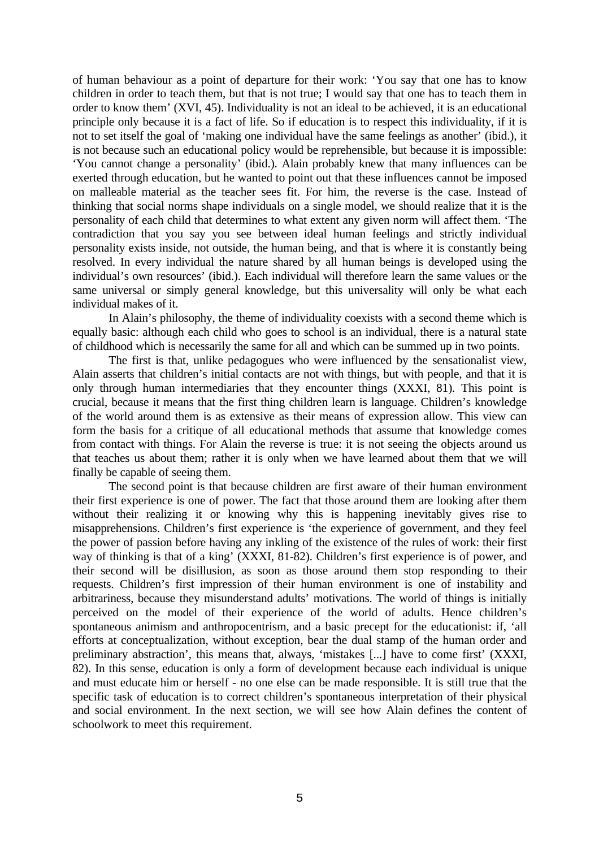of human behaviour as a point of departure for their work: 'You say that one has to know children in order to teach them, but that is not true; I would say that one has to teach them in order to know them' (XVI, 45). Individuality is not an ideal to be achieved, it is an educational principle only because it is a fact of life. So if education is to respect this individuality, if it is not to set itself the goal of 'making one individual have the same feelings as another' (ibid.), it is not because such an educational policy would be reprehensible, but because it is impossible: 'You cannot change a personality' (ibid.). Alain probably knew that many influences can be exerted through education, but he wanted to point out that these influences cannot be imposed on malleable material as the teacher sees fit. For him, the reverse is the case. Instead of thinking that social norms shape individuals on a single model, we should realize that it is the personality of each child that determines to what extent any given norm will affect them. 'The contradiction that you say you see between ideal human feelings and strictly individual personality exists inside, not outside, the human being, and that is where it is constantly being resolved. In every individual the nature shared by all human beings is developed using the individual's own resources' (ibid.). Each individual will therefore learn the same values or the same universal or simply general knowledge, but this universality will only be what each individual makes of it.

In Alain's philosophy, the theme of individuality coexists with a second theme which is equally basic: although each child who goes to school is an individual, there is a natural state of childhood which is necessarily the same for all and which can be summed up in two points.

The first is that, unlike pedagogues who were influenced by the sensationalist view, Alain asserts that children's initial contacts are not with things, but with people, and that it is only through human intermediaries that they encounter things (XXXI, 81). This point is crucial, because it means that the first thing children learn is language. Children's knowledge of the world around them is as extensive as their means of expression allow. This view can form the basis for a critique of all educational methods that assume that knowledge comes from contact with things. For Alain the reverse is true: it is not seeing the objects around us that teaches us about them; rather it is only when we have learned about them that we will finally be capable of seeing them.

The second point is that because children are first aware of their human environment their first experience is one of power. The fact that those around them are looking after them without their realizing it or knowing why this is happening inevitably gives rise to misapprehensions. Children's first experience is 'the experience of government, and they feel the power of passion before having any inkling of the existence of the rules of work: their first way of thinking is that of a king' (XXXI, 81-82). Children's first experience is of power, and their second will be disillusion, as soon as those around them stop responding to their requests. Children's first impression of their human environment is one of instability and arbitrariness, because they misunderstand adults' motivations. The world of things is initially perceived on the model of their experience of the world of adults. Hence children's spontaneous animism and anthropocentrism, and a basic precept for the educationist: if, 'all efforts at conceptualization, without exception, bear the dual stamp of the human order and preliminary abstraction', this means that, always, 'mistakes [...] have to come first' (XXXI, 82). In this sense, education is only a form of development because each individual is unique and must educate him or herself - no one else can be made responsible. It is still true that the specific task of education is to correct children's spontaneous interpretation of their physical and social environment. In the next section, we will see how Alain defines the content of schoolwork to meet this requirement.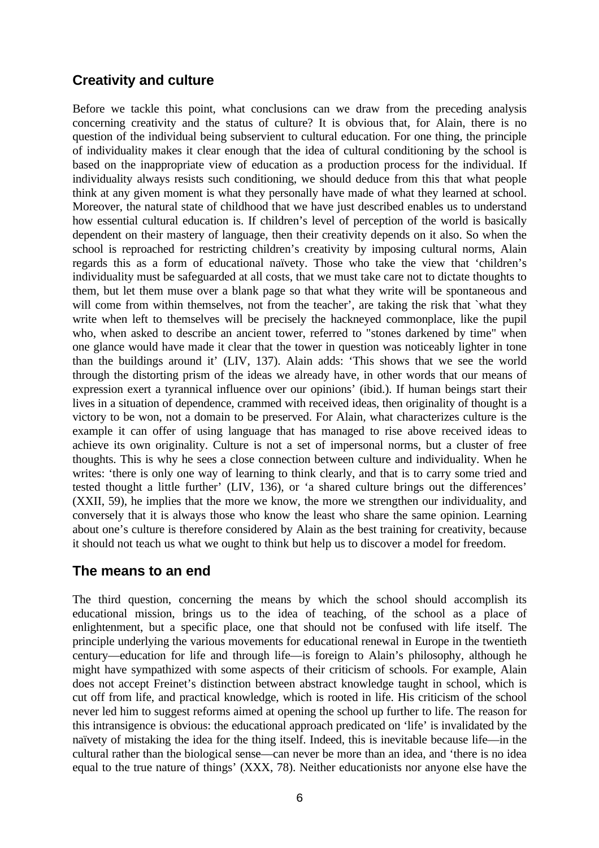## **Creativity and culture**

Before we tackle this point, what conclusions can we draw from the preceding analysis concerning creativity and the status of culture? It is obvious that, for Alain, there is no question of the individual being subservient to cultural education. For one thing, the principle of individuality makes it clear enough that the idea of cultural conditioning by the school is based on the inappropriate view of education as a production process for the individual. If individuality always resists such conditioning, we should deduce from this that what people think at any given moment is what they personally have made of what they learned at school. Moreover, the natural state of childhood that we have just described enables us to understand how essential cultural education is. If children's level of perception of the world is basically dependent on their mastery of language, then their creativity depends on it also. So when the school is reproached for restricting children's creativity by imposing cultural norms, Alain regards this as a form of educational naïvety. Those who take the view that 'children's individuality must be safeguarded at all costs, that we must take care not to dictate thoughts to them, but let them muse over a blank page so that what they write will be spontaneous and will come from within themselves, not from the teacher', are taking the risk that `what they write when left to themselves will be precisely the hackneyed commonplace, like the pupil who, when asked to describe an ancient tower, referred to "stones darkened by time" when one glance would have made it clear that the tower in question was noticeably lighter in tone than the buildings around it' (LIV, 137). Alain adds: 'This shows that we see the world through the distorting prism of the ideas we already have, in other words that our means of expression exert a tyrannical influence over our opinions' (ibid.). If human beings start their lives in a situation of dependence, crammed with received ideas, then originality of thought is a victory to be won, not a domain to be preserved. For Alain, what characterizes culture is the example it can offer of using language that has managed to rise above received ideas to achieve its own originality. Culture is not a set of impersonal norms, but a cluster of free thoughts. This is why he sees a close connection between culture and individuality. When he writes: 'there is only one way of learning to think clearly, and that is to carry some tried and tested thought a little further' (LIV, 136), or 'a shared culture brings out the differences' (XXII, 59), he implies that the more we know, the more we strengthen our individuality, and conversely that it is always those who know the least who share the same opinion. Learning about one's culture is therefore considered by Alain as the best training for creativity, because it should not teach us what we ought to think but help us to discover a model for freedom.

## **The means to an end**

The third question, concerning the means by which the school should accomplish its educational mission, brings us to the idea of teaching, of the school as a place of enlightenment, but a specific place, one that should not be confused with life itself. The principle underlying the various movements for educational renewal in Europe in the twentieth century—education for life and through life—is foreign to Alain's philosophy, although he might have sympathized with some aspects of their criticism of schools. For example, Alain does not accept Freinet's distinction between abstract knowledge taught in school, which is cut off from life, and practical knowledge, which is rooted in life. His criticism of the school never led him to suggest reforms aimed at opening the school up further to life. The reason for this intransigence is obvious: the educational approach predicated on 'life' is invalidated by the naïvety of mistaking the idea for the thing itself. Indeed, this is inevitable because life—in the cultural rather than the biological sense—can never be more than an idea, and 'there is no idea equal to the true nature of things' (XXX, 78). Neither educationists nor anyone else have the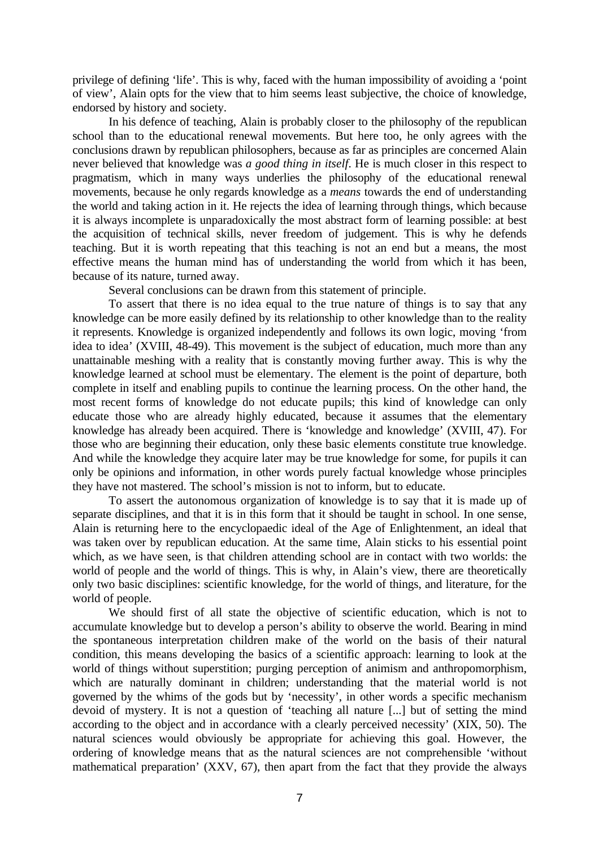privilege of defining 'life'. This is why, faced with the human impossibility of avoiding a 'point of view', Alain opts for the view that to him seems least subjective, the choice of knowledge, endorsed by history and society.

In his defence of teaching, Alain is probably closer to the philosophy of the republican school than to the educational renewal movements. But here too, he only agrees with the conclusions drawn by republican philosophers, because as far as principles are concerned Alain never believed that knowledge was *a good thing in itself*. He is much closer in this respect to pragmatism, which in many ways underlies the philosophy of the educational renewal movements, because he only regards knowledge as a *means* towards the end of understanding the world and taking action in it. He rejects the idea of learning through things, which because it is always incomplete is unparadoxically the most abstract form of learning possible: at best the acquisition of technical skills, never freedom of judgement. This is why he defends teaching. But it is worth repeating that this teaching is not an end but a means, the most effective means the human mind has of understanding the world from which it has been, because of its nature, turned away.

Several conclusions can be drawn from this statement of principle.

To assert that there is no idea equal to the true nature of things is to say that any knowledge can be more easily defined by its relationship to other knowledge than to the reality it represents. Knowledge is organized independently and follows its own logic, moving 'from idea to idea' (XVIII, 48-49). This movement is the subject of education, much more than any unattainable meshing with a reality that is constantly moving further away. This is why the knowledge learned at school must be elementary. The element is the point of departure, both complete in itself and enabling pupils to continue the learning process. On the other hand, the most recent forms of knowledge do not educate pupils; this kind of knowledge can only educate those who are already highly educated, because it assumes that the elementary knowledge has already been acquired. There is 'knowledge and knowledge' (XVIII, 47). For those who are beginning their education, only these basic elements constitute true knowledge. And while the knowledge they acquire later may be true knowledge for some, for pupils it can only be opinions and information, in other words purely factual knowledge whose principles they have not mastered. The school's mission is not to inform, but to educate.

To assert the autonomous organization of knowledge is to say that it is made up of separate disciplines, and that it is in this form that it should be taught in school. In one sense, Alain is returning here to the encyclopaedic ideal of the Age of Enlightenment, an ideal that was taken over by republican education. At the same time, Alain sticks to his essential point which, as we have seen, is that children attending school are in contact with two worlds: the world of people and the world of things. This is why, in Alain's view, there are theoretically only two basic disciplines: scientific knowledge, for the world of things, and literature, for the world of people.

We should first of all state the objective of scientific education, which is not to accumulate knowledge but to develop a person's ability to observe the world. Bearing in mind the spontaneous interpretation children make of the world on the basis of their natural condition, this means developing the basics of a scientific approach: learning to look at the world of things without superstition; purging perception of animism and anthropomorphism, which are naturally dominant in children; understanding that the material world is not governed by the whims of the gods but by 'necessity', in other words a specific mechanism devoid of mystery. It is not a question of 'teaching all nature [...] but of setting the mind according to the object and in accordance with a clearly perceived necessity' (XIX, 50). The natural sciences would obviously be appropriate for achieving this goal. However, the ordering of knowledge means that as the natural sciences are not comprehensible 'without mathematical preparation' (XXV, 67), then apart from the fact that they provide the always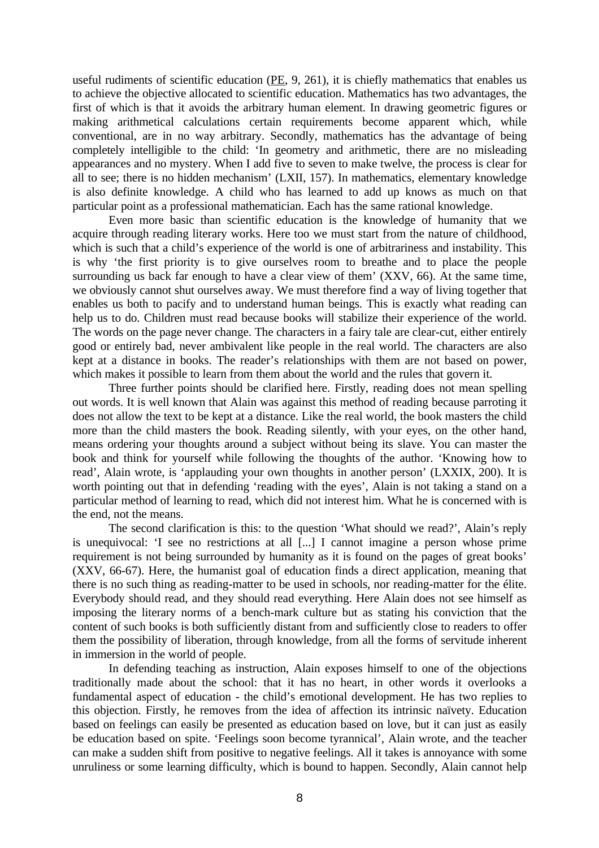useful rudiments of scientific education (PE, 9, 261), it is chiefly mathematics that enables us to achieve the objective allocated to scientific education. Mathematics has two advantages, the first of which is that it avoids the arbitrary human element. In drawing geometric figures or making arithmetical calculations certain requirements become apparent which, while conventional, are in no way arbitrary. Secondly, mathematics has the advantage of being completely intelligible to the child: 'In geometry and arithmetic, there are no misleading appearances and no mystery. When I add five to seven to make twelve, the process is clear for all to see; there is no hidden mechanism' (LXII, 157). In mathematics, elementary knowledge is also definite knowledge. A child who has learned to add up knows as much on that particular point as a professional mathematician. Each has the same rational knowledge.

Even more basic than scientific education is the knowledge of humanity that we acquire through reading literary works. Here too we must start from the nature of childhood, which is such that a child's experience of the world is one of arbitrariness and instability. This is why 'the first priority is to give ourselves room to breathe and to place the people surrounding us back far enough to have a clear view of them' (XXV, 66). At the same time, we obviously cannot shut ourselves away. We must therefore find a way of living together that enables us both to pacify and to understand human beings. This is exactly what reading can help us to do. Children must read because books will stabilize their experience of the world. The words on the page never change. The characters in a fairy tale are clear-cut, either entirely good or entirely bad, never ambivalent like people in the real world. The characters are also kept at a distance in books. The reader's relationships with them are not based on power, which makes it possible to learn from them about the world and the rules that govern it.

Three further points should be clarified here. Firstly, reading does not mean spelling out words. It is well known that Alain was against this method of reading because parroting it does not allow the text to be kept at a distance. Like the real world, the book masters the child more than the child masters the book. Reading silently, with your eyes, on the other hand, means ordering your thoughts around a subject without being its slave. You can master the book and think for yourself while following the thoughts of the author. 'Knowing how to read', Alain wrote, is 'applauding your own thoughts in another person' (LXXIX, 200). It is worth pointing out that in defending 'reading with the eyes', Alain is not taking a stand on a particular method of learning to read, which did not interest him. What he is concerned with is the end, not the means.

The second clarification is this: to the question 'What should we read?', Alain's reply is unequivocal: 'I see no restrictions at all [...] I cannot imagine a person whose prime requirement is not being surrounded by humanity as it is found on the pages of great books' (XXV, 66-67). Here, the humanist goal of education finds a direct application, meaning that there is no such thing as reading-matter to be used in schools, nor reading-matter for the élite. Everybody should read, and they should read everything. Here Alain does not see himself as imposing the literary norms of a bench-mark culture but as stating his conviction that the content of such books is both sufficiently distant from and sufficiently close to readers to offer them the possibility of liberation, through knowledge, from all the forms of servitude inherent in immersion in the world of people.

In defending teaching as instruction, Alain exposes himself to one of the objections traditionally made about the school: that it has no heart, in other words it overlooks a fundamental aspect of education - the child's emotional development. He has two replies to this objection. Firstly, he removes from the idea of affection its intrinsic naïvety. Education based on feelings can easily be presented as education based on love, but it can just as easily be education based on spite. 'Feelings soon become tyrannical', Alain wrote, and the teacher can make a sudden shift from positive to negative feelings. All it takes is annoyance with some unruliness or some learning difficulty, which is bound to happen. Secondly, Alain cannot help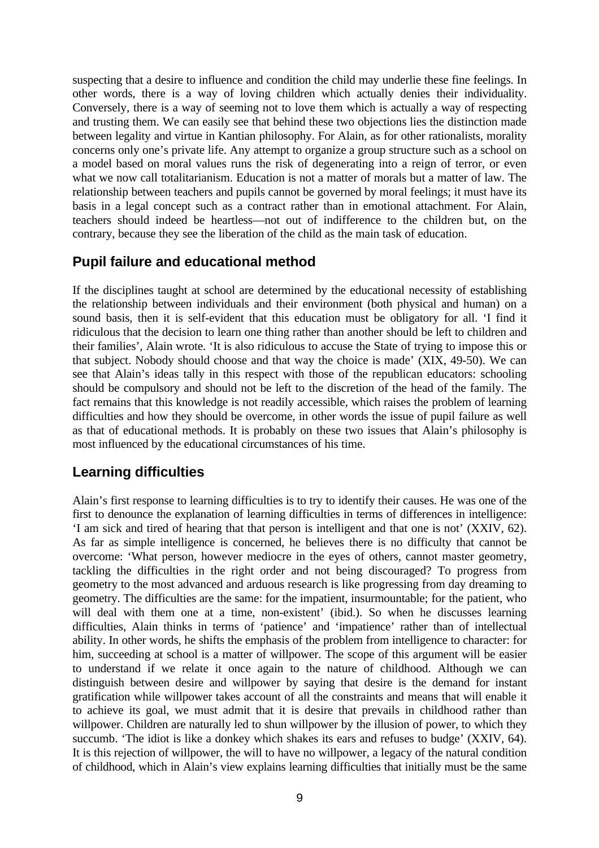suspecting that a desire to influence and condition the child may underlie these fine feelings. In other words, there is a way of loving children which actually denies their individuality. Conversely, there is a way of seeming not to love them which is actually a way of respecting and trusting them. We can easily see that behind these two objections lies the distinction made between legality and virtue in Kantian philosophy. For Alain, as for other rationalists, morality concerns only one's private life. Any attempt to organize a group structure such as a school on a model based on moral values runs the risk of degenerating into a reign of terror, or even what we now call totalitarianism. Education is not a matter of morals but a matter of law. The relationship between teachers and pupils cannot be governed by moral feelings; it must have its basis in a legal concept such as a contract rather than in emotional attachment. For Alain, teachers should indeed be heartless—not out of indifference to the children but, on the contrary, because they see the liberation of the child as the main task of education.

## **Pupil failure and educational method**

If the disciplines taught at school are determined by the educational necessity of establishing the relationship between individuals and their environment (both physical and human) on a sound basis, then it is self-evident that this education must be obligatory for all. 'I find it ridiculous that the decision to learn one thing rather than another should be left to children and their families', Alain wrote. 'It is also ridiculous to accuse the State of trying to impose this or that subject. Nobody should choose and that way the choice is made' (XIX, 49-50). We can see that Alain's ideas tally in this respect with those of the republican educators: schooling should be compulsory and should not be left to the discretion of the head of the family. The fact remains that this knowledge is not readily accessible, which raises the problem of learning difficulties and how they should be overcome, in other words the issue of pupil failure as well as that of educational methods. It is probably on these two issues that Alain's philosophy is most influenced by the educational circumstances of his time.

# **Learning difficulties**

Alain's first response to learning difficulties is to try to identify their causes. He was one of the first to denounce the explanation of learning difficulties in terms of differences in intelligence: 'I am sick and tired of hearing that that person is intelligent and that one is not' (XXIV, 62). As far as simple intelligence is concerned, he believes there is no difficulty that cannot be overcome: 'What person, however mediocre in the eyes of others, cannot master geometry, tackling the difficulties in the right order and not being discouraged? To progress from geometry to the most advanced and arduous research is like progressing from day dreaming to geometry. The difficulties are the same: for the impatient, insurmountable; for the patient, who will deal with them one at a time, non-existent' (ibid.). So when he discusses learning difficulties, Alain thinks in terms of 'patience' and 'impatience' rather than of intellectual ability. In other words, he shifts the emphasis of the problem from intelligence to character: for him, succeeding at school is a matter of willpower. The scope of this argument will be easier to understand if we relate it once again to the nature of childhood. Although we can distinguish between desire and willpower by saying that desire is the demand for instant gratification while willpower takes account of all the constraints and means that will enable it to achieve its goal, we must admit that it is desire that prevails in childhood rather than willpower. Children are naturally led to shun willpower by the illusion of power, to which they succumb. 'The idiot is like a donkey which shakes its ears and refuses to budge' (XXIV, 64). It is this rejection of willpower, the will to have no willpower, a legacy of the natural condition of childhood, which in Alain's view explains learning difficulties that initially must be the same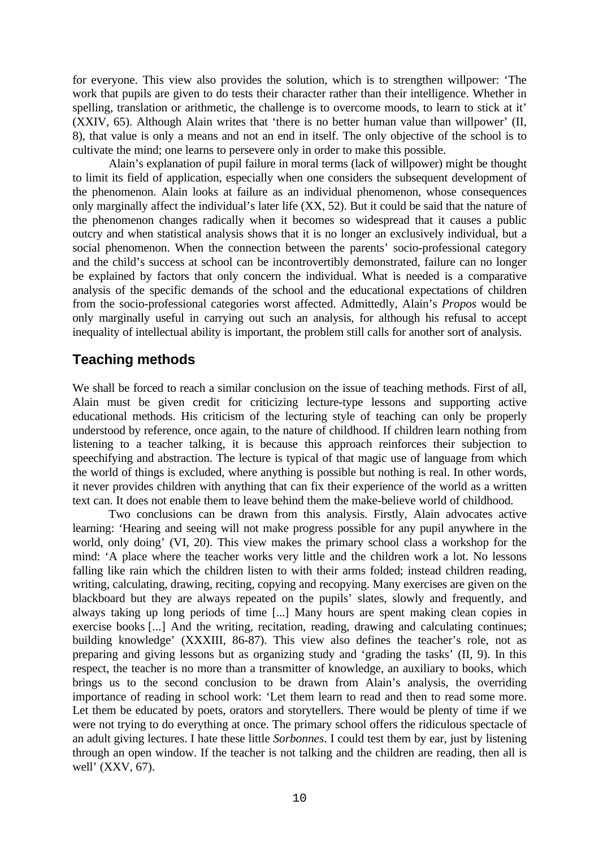for everyone. This view also provides the solution, which is to strengthen willpower: 'The work that pupils are given to do tests their character rather than their intelligence. Whether in spelling, translation or arithmetic, the challenge is to overcome moods, to learn to stick at it' (XXIV, 65). Although Alain writes that 'there is no better human value than willpower' (II, 8), that value is only a means and not an end in itself. The only objective of the school is to cultivate the mind; one learns to persevere only in order to make this possible.

Alain's explanation of pupil failure in moral terms (lack of willpower) might be thought to limit its field of application, especially when one considers the subsequent development of the phenomenon. Alain looks at failure as an individual phenomenon, whose consequences only marginally affect the individual's later life (XX, 52). But it could be said that the nature of the phenomenon changes radically when it becomes so widespread that it causes a public outcry and when statistical analysis shows that it is no longer an exclusively individual, but a social phenomenon. When the connection between the parents' socio-professional category and the child's success at school can be incontrovertibly demonstrated, failure can no longer be explained by factors that only concern the individual. What is needed is a comparative analysis of the specific demands of the school and the educational expectations of children from the socio-professional categories worst affected. Admittedly, Alain's *Propos* would be only marginally useful in carrying out such an analysis, for although his refusal to accept inequality of intellectual ability is important, the problem still calls for another sort of analysis.

## **Teaching methods**

We shall be forced to reach a similar conclusion on the issue of teaching methods. First of all, Alain must be given credit for criticizing lecture-type lessons and supporting active educational methods. His criticism of the lecturing style of teaching can only be properly understood by reference, once again, to the nature of childhood. If children learn nothing from listening to a teacher talking, it is because this approach reinforces their subjection to speechifying and abstraction. The lecture is typical of that magic use of language from which the world of things is excluded, where anything is possible but nothing is real. In other words, it never provides children with anything that can fix their experience of the world as a written text can. It does not enable them to leave behind them the make-believe world of childhood.

Two conclusions can be drawn from this analysis. Firstly, Alain advocates active learning: 'Hearing and seeing will not make progress possible for any pupil anywhere in the world, only doing' (VI, 20). This view makes the primary school class a workshop for the mind: 'A place where the teacher works very little and the children work a lot. No lessons falling like rain which the children listen to with their arms folded; instead children reading, writing, calculating, drawing, reciting, copying and recopying. Many exercises are given on the blackboard but they are always repeated on the pupils' slates, slowly and frequently, and always taking up long periods of time [...] Many hours are spent making clean copies in exercise books [...] And the writing, recitation, reading, drawing and calculating continues; building knowledge' (XXXIII, 86-87). This view also defines the teacher's role, not as preparing and giving lessons but as organizing study and 'grading the tasks' (II, 9). In this respect, the teacher is no more than a transmitter of knowledge, an auxiliary to books, which brings us to the second conclusion to be drawn from Alain's analysis, the overriding importance of reading in school work: 'Let them learn to read and then to read some more. Let them be educated by poets, orators and storytellers. There would be plenty of time if we were not trying to do everything at once. The primary school offers the ridiculous spectacle of an adult giving lectures. I hate these little *Sorbonnes*. I could test them by ear, just by listening through an open window. If the teacher is not talking and the children are reading, then all is well' (XXV, 67).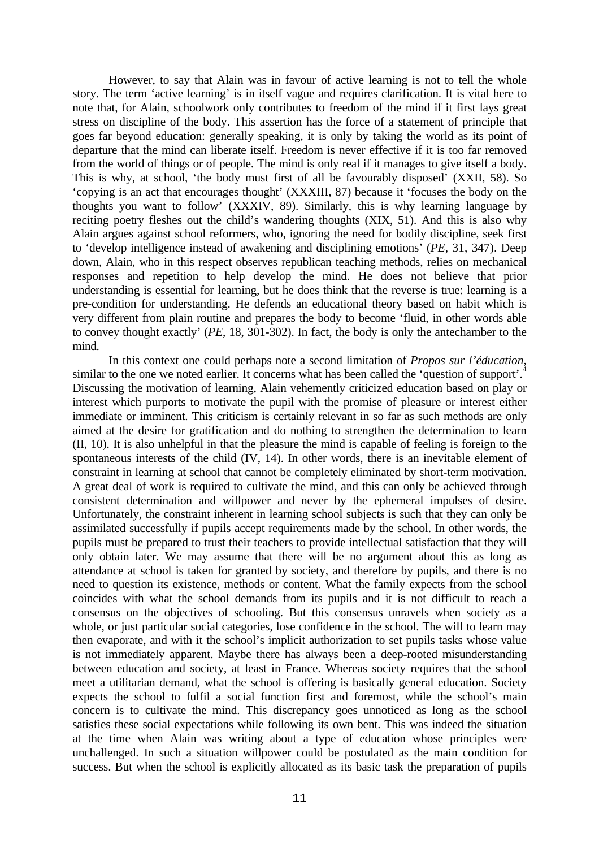However, to say that Alain was in favour of active learning is not to tell the whole story. The term 'active learning' is in itself vague and requires clarification. It is vital here to note that, for Alain, schoolwork only contributes to freedom of the mind if it first lays great stress on discipline of the body. This assertion has the force of a statement of principle that goes far beyond education: generally speaking, it is only by taking the world as its point of departure that the mind can liberate itself. Freedom is never effective if it is too far removed from the world of things or of people. The mind is only real if it manages to give itself a body. This is why, at school, 'the body must first of all be favourably disposed' (XXII, 58). So 'copying is an act that encourages thought' (XXXIII, 87) because it 'focuses the body on the thoughts you want to follow' (XXXIV, 89). Similarly, this is why learning language by reciting poetry fleshes out the child's wandering thoughts (XIX, 51). And this is also why Alain argues against school reformers, who, ignoring the need for bodily discipline, seek first to 'develop intelligence instead of awakening and disciplining emotions' (*PE*, 31, 347). Deep down, Alain, who in this respect observes republican teaching methods, relies on mechanical responses and repetition to help develop the mind. He does not believe that prior understanding is essential for learning, but he does think that the reverse is true: learning is a pre-condition for understanding. He defends an educational theory based on habit which is very different from plain routine and prepares the body to become 'fluid, in other words able to convey thought exactly' (*PE*, 18, 301-302). In fact, the body is only the antechamber to the mind.

In this context one could perhaps note a second limitation of *Propos sur l'éducation*, similar to the one we noted earlier. It concerns what has been called the 'question of support'.<sup>4</sup> Discussing the motivation of learning, Alain vehemently criticized education based on play or interest which purports to motivate the pupil with the promise of pleasure or interest either immediate or imminent. This criticism is certainly relevant in so far as such methods are only aimed at the desire for gratification and do nothing to strengthen the determination to learn (II, 10). It is also unhelpful in that the pleasure the mind is capable of feeling is foreign to the spontaneous interests of the child (IV, 14). In other words, there is an inevitable element of constraint in learning at school that cannot be completely eliminated by short-term motivation. A great deal of work is required to cultivate the mind, and this can only be achieved through consistent determination and willpower and never by the ephemeral impulses of desire. Unfortunately, the constraint inherent in learning school subjects is such that they can only be assimilated successfully if pupils accept requirements made by the school. In other words, the pupils must be prepared to trust their teachers to provide intellectual satisfaction that they will only obtain later. We may assume that there will be no argument about this as long as attendance at school is taken for granted by society, and therefore by pupils, and there is no need to question its existence, methods or content. What the family expects from the school coincides with what the school demands from its pupils and it is not difficult to reach a consensus on the objectives of schooling. But this consensus unravels when society as a whole, or just particular social categories, lose confidence in the school. The will to learn may then evaporate, and with it the school's implicit authorization to set pupils tasks whose value is not immediately apparent. Maybe there has always been a deep-rooted misunderstanding between education and society, at least in France. Whereas society requires that the school meet a utilitarian demand, what the school is offering is basically general education. Society expects the school to fulfil a social function first and foremost, while the school's main concern is to cultivate the mind. This discrepancy goes unnoticed as long as the school satisfies these social expectations while following its own bent. This was indeed the situation at the time when Alain was writing about a type of education whose principles were unchallenged. In such a situation willpower could be postulated as the main condition for success. But when the school is explicitly allocated as its basic task the preparation of pupils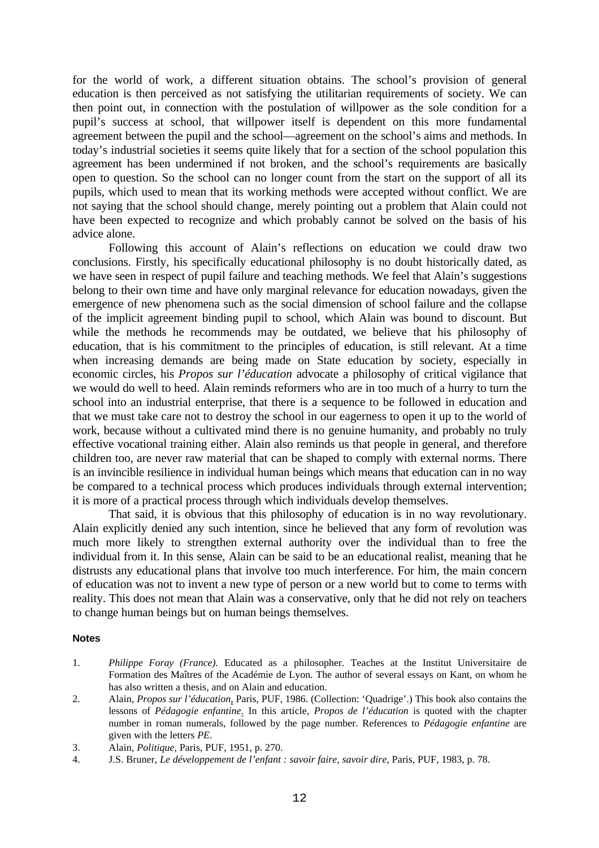for the world of work, a different situation obtains. The school's provision of general education is then perceived as not satisfying the utilitarian requirements of society. We can then point out, in connection with the postulation of willpower as the sole condition for a pupil's success at school, that willpower itself is dependent on this more fundamental agreement between the pupil and the school—agreement on the school's aims and methods. In today's industrial societies it seems quite likely that for a section of the school population this agreement has been undermined if not broken, and the school's requirements are basically open to question. So the school can no longer count from the start on the support of all its pupils, which used to mean that its working methods were accepted without conflict. We are not saying that the school should change, merely pointing out a problem that Alain could not have been expected to recognize and which probably cannot be solved on the basis of his advice alone.

Following this account of Alain's reflections on education we could draw two conclusions. Firstly, his specifically educational philosophy is no doubt historically dated, as we have seen in respect of pupil failure and teaching methods. We feel that Alain's suggestions belong to their own time and have only marginal relevance for education nowadays, given the emergence of new phenomena such as the social dimension of school failure and the collapse of the implicit agreement binding pupil to school, which Alain was bound to discount. But while the methods he recommends may be outdated, we believe that his philosophy of education, that is his commitment to the principles of education, is still relevant. At a time when increasing demands are being made on State education by society, especially in economic circles, his *Propos sur l'éducation* advocate a philosophy of critical vigilance that we would do well to heed. Alain reminds reformers who are in too much of a hurry to turn the school into an industrial enterprise, that there is a sequence to be followed in education and that we must take care not to destroy the school in our eagerness to open it up to the world of work, because without a cultivated mind there is no genuine humanity, and probably no truly effective vocational training either. Alain also reminds us that people in general, and therefore children too, are never raw material that can be shaped to comply with external norms. There is an invincible resilience in individual human beings which means that education can in no way be compared to a technical process which produces individuals through external intervention; it is more of a practical process through which individuals develop themselves.

That said, it is obvious that this philosophy of education is in no way revolutionary. Alain explicitly denied any such intention, since he believed that any form of revolution was much more likely to strengthen external authority over the individual than to free the individual from it. In this sense, Alain can be said to be an educational realist, meaning that he distrusts any educational plans that involve too much interference. For him, the main concern of education was not to invent a new type of person or a new world but to come to terms with reality. This does not mean that Alain was a conservative, only that he did not rely on teachers to change human beings but on human beings themselves.

#### **Notes**

- 1. *Philippe Foray (France).* Educated as a philosopher. Teaches at the Institut Universitaire de Formation des Maîtres of the Académie de Lyon. The author of several essays on Kant, on whom he has also written a thesis, and on Alain and education.
- 2. Alain, *Propos sur l'éducation*, Paris, PUF, 1986. (Collection: 'Quadrige'.) This book also contains the lessons of *Pédagogie enfantine*. In this article, *Propos de l'éducation* is quoted with the chapter number in roman numerals, followed by the page number. References to *Pédagogie enfantine* are given with the letters *PE*.
- 3. Alain, *Politique*, Paris, PUF, 1951, p. 270.
- 4. J.S. Bruner, *Le développement de l'enfant : savoir faire, savoir dire*, Paris, PUF, 1983, p. 78.